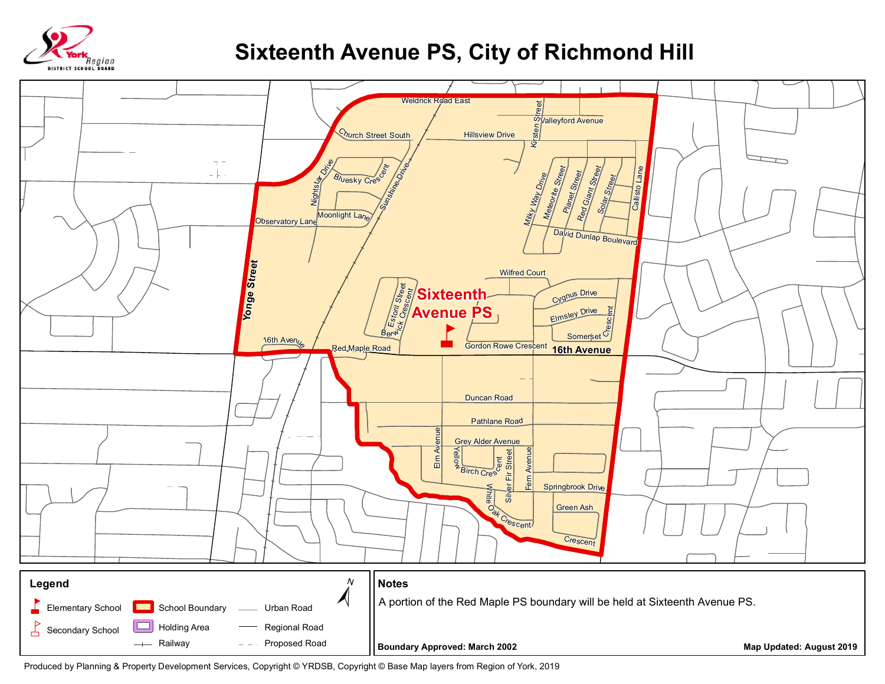

## **Sixteenth Avenue PS, City of Richmond Hill**



Produced by Planning & Property Development Services, Copyright © YRDSB, Copyright © Base Map layers from Region of York, 2019